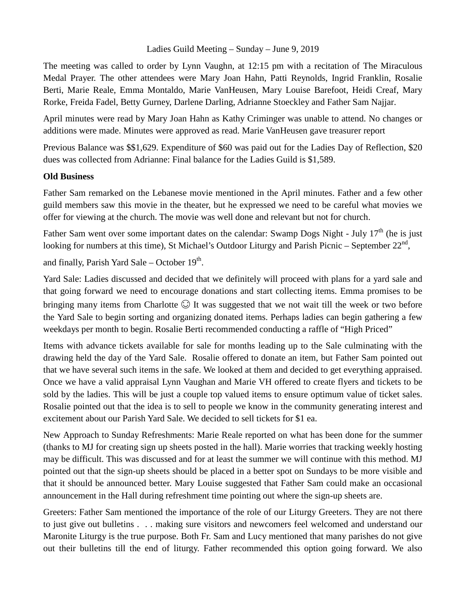## Ladies Guild Meeting – Sunday – June 9, 2019

The meeting was called to order by Lynn Vaughn, at 12:15 pm with a recitation of The Miraculous Medal Prayer. The other attendees were Mary Joan Hahn, Patti Reynolds, Ingrid Franklin, Rosalie Berti, Marie Reale, Emma Montaldo, Marie VanHeusen, Mary Louise Barefoot, Heidi Creaf, Mary Rorke, Freida Fadel, Betty Gurney, Darlene Darling, Adrianne Stoeckley and Father Sam Najjar.

April minutes were read by Mary Joan Hahn as Kathy Criminger was unable to attend. No changes or additions were made. Minutes were approved as read. Marie VanHeusen gave treasurer report

Previous Balance was \$\$1,629. Expenditure of \$60 was paid out for the Ladies Day of Reflection, \$20 dues was collected from Adrianne: Final balance for the Ladies Guild is \$1,589.

## **Old Business**

Father Sam remarked on the Lebanese movie mentioned in the April minutes. Father and a few other guild members saw this movie in the theater, but he expressed we need to be careful what movies we offer for viewing at the church. The movie was well done and relevant but not for church.

Father Sam went over some important dates on the calendar: Swamp Dogs Night - July 17<sup>th</sup> (he is just looking for numbers at this time), St Michael's Outdoor Liturgy and Parish Picnic – September  $22<sup>nd</sup>$ ,

and finally, Parish Yard Sale – October  $19^{th}$ .

Yard Sale: Ladies discussed and decided that we definitely will proceed with plans for a yard sale and that going forward we need to encourage donations and start collecting items. Emma promises to be bringing many items from Charlotte  $\odot$  It was suggested that we not wait till the week or two before the Yard Sale to begin sorting and organizing donated items. Perhaps ladies can begin gathering a few weekdays per month to begin. Rosalie Berti recommended conducting a raffle of "High Priced"

Items with advance tickets available for sale for months leading up to the Sale culminating with the drawing held the day of the Yard Sale. Rosalie offered to donate an item, but Father Sam pointed out that we have several such items in the safe. We looked at them and decided to get everything appraised. Once we have a valid appraisal Lynn Vaughan and Marie VH offered to create flyers and tickets to be sold by the ladies. This will be just a couple top valued items to ensure optimum value of ticket sales. Rosalie pointed out that the idea is to sell to people we know in the community generating interest and excitement about our Parish Yard Sale. We decided to sell tickets for \$1 ea.

New Approach to Sunday Refreshments: Marie Reale reported on what has been done for the summer (thanks to MJ for creating sign up sheets posted in the hall). Marie worries that tracking weekly hosting may be difficult. This was discussed and for at least the summer we will continue with this method. MJ pointed out that the sign-up sheets should be placed in a better spot on Sundays to be more visible and that it should be announced better. Mary Louise suggested that Father Sam could make an occasional announcement in the Hall during refreshment time pointing out where the sign-up sheets are.

Greeters: Father Sam mentioned the importance of the role of our Liturgy Greeters. They are not there to just give out bulletins . . . making sure visitors and newcomers feel welcomed and understand our Maronite Liturgy is the true purpose. Both Fr. Sam and Lucy mentioned that many parishes do not give out their bulletins till the end of liturgy. Father recommended this option going forward. We also